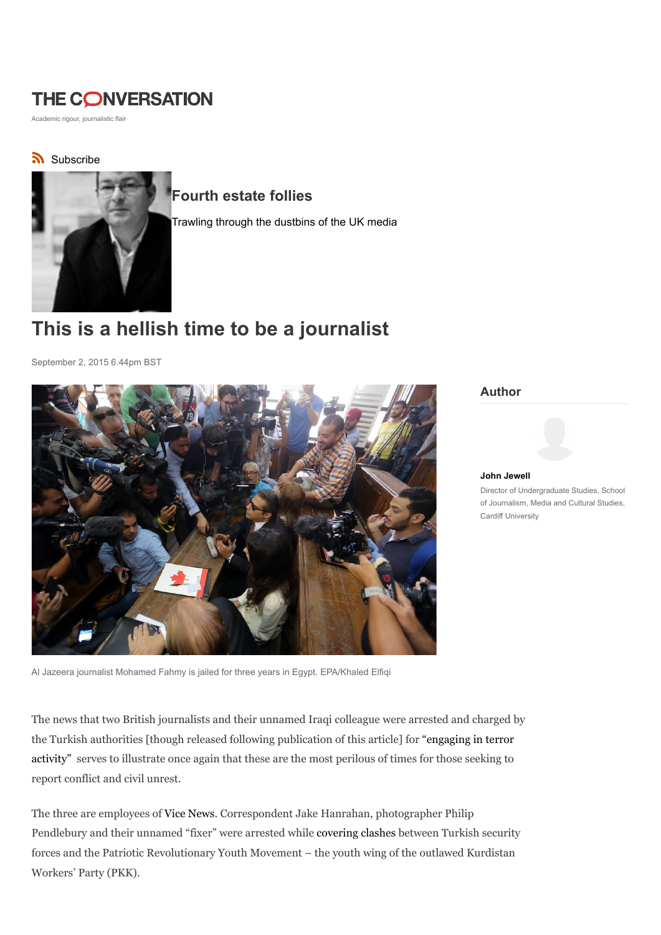# THE CONVERSATION

Academic rigour, journalistic flair

### Subscribe



### Fourth estate follies

Trawling through the dustbins of the UK media

# This is a hellish time to be a journalist

September 2, 2015 6.44pm BST



Author

## John Jewell

Director of Undergraduate Studies, School of Journalism, Media and Cultural Studies, Cardiff University

Al Jazeera journalist Mohamed Fahmy is jailed for three years in Egypt. EPA/Khaled Elfiqi

The news that two British journalists and their unnamed Iraqi colleague were arrested and charged by the Turkish authorities [though released following publication of this article] for "engaging in terror activity" serves to illustrate once again that these are the most perilous of times for those seeking to report conflict and civil unrest.

The three are employees of Vice News. Correspondent Jake Hanrahan, photographer Philip Pendlebury and their unnamed "fixer" were arrested while covering clashes between Turkish security forces and the Patriotic Revolutionary Youth Movement – the youth wing of the outlawed Kurdistan Workers' Party (PKK).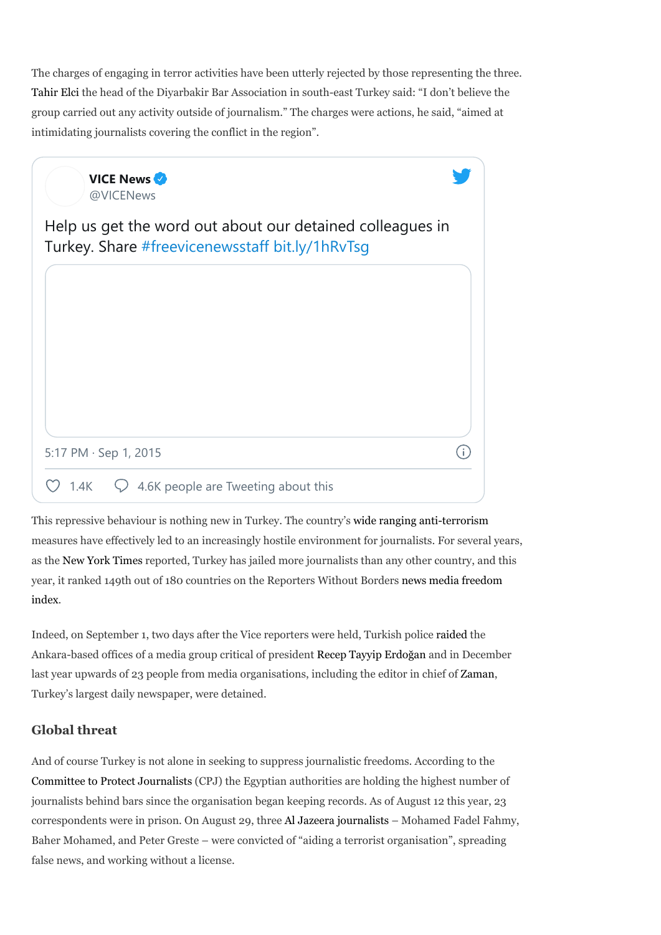The charges of engaging in terror activities have been utterly rejected by those representing the three. Tahir Elci the head of the Diyarbakir Bar Association in south-east Turkey said: "I don't believe the group carried out any activity outside of journalism." The charges were actions, he said, "aimed at intimidating journalists covering the conflict in the region".



This repressive behaviour is nothing new in Turkey. The country's wide ranging anti-terrorism measures have effectively led to an increasingly hostile environment for journalists. For several years, as the New York Times reported, Turkey has jailed more journalists than any other country, and this year, it ranked 149th out of 180 countries on the Reporters Without Borders news media freedom index.

Indeed, on September 1, two days after the Vice reporters were held, Turkish police raided the Ankara-based offices of a media group critical of president Recep Tayyip Erdoğan and in December last year upwards of 23 people from media organisations, including the editor in chief of Zaman, Turkey's largest daily newspaper, were detained.

#### Global threat

And of course Turkey is not alone in seeking to suppress journalistic freedoms. According to the Committee to Protect Journalists (CPJ) the Egyptian authorities are holding the highest number of journalists behind bars since the organisation began keeping records. As of August 12 this year, 23 correspondents were in prison. On August 29, three Al Jazeera journalists – Mohamed Fadel Fahmy, Baher Mohamed, and Peter Greste – were convicted of "aiding a terrorist organisation", spreading false news, and working without a license.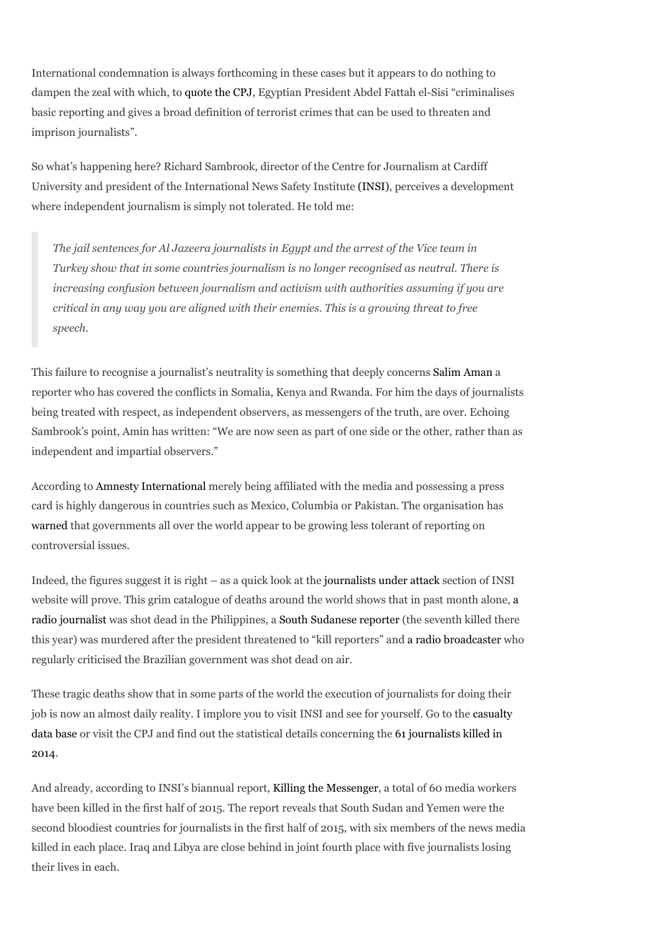International condemnation is always forthcoming in these cases but it appears to do nothing to dampen the zeal with which, to quote the CPJ, Egyptian President Abdel Fattah el-Sisi "criminalises basic reporting and gives a broad definition of terrorist crimes that can be used to threaten and imprison journalists".

So what's happening here? Richard Sambrook, director of the Centre for Journalism at Cardiff University and president of the International News Safety Institute (INSI), perceives a development where independent journalism is simply not tolerated. He told me:

The jail sentences for Al Jazeera journalists in Egypt and the arrest of the Vice team in Turkey show that in some countries journalism is no longer recognised as neutral. There is increasing confusion between journalism and activism with authorities assuming if you are critical in any way you are aligned with their enemies. This is a growing threat to free speech.

This failure to recognise a journalist's neutrality is something that deeply concerns Salim Aman a reporter who has covered the conflicts in Somalia, Kenya and Rwanda. For him the days of journalists being treated with respect, as independent observers, as messengers of the truth, are over. Echoing Sambrook's point, Amin has written: "We are now seen as part of one side or the other, rather than as independent and impartial observers."

According to Amnesty International merely being affiliated with the media and possessing a press card is highly dangerous in countries such as Mexico, Columbia or Pakistan. The organisation has warned that governments all over the world appear to be growing less tolerant of reporting on controversial issues.

Indeed, the figures suggest it is right – as a quick look at the journalists under attack section of INSI website will prove. This grim catalogue of deaths around the world shows that in past month alone, a radio journalist was shot dead in the Philippines, a South Sudanese reporter (the seventh killed there this year) was murdered after the president threatened to "kill reporters" and a radio broadcaster who regularly criticised the Brazilian government was shot dead on air.

These tragic deaths show that in some parts of the world the execution of journalists for doing their job is now an almost daily reality. I implore you to visit INSI and see for yourself. Go to the casualty data base or visit the CPJ and find out the statistical details concerning the 61 journalists killed in 2014.

And already, according to INSI's biannual report, Killing the Messenger, a total of 60 media workers have been killed in the first half of 2015. The report reveals that South Sudan and Yemen were the second bloodiest countries for journalists in the first half of 2015, with six members of the news media killed in each place. Iraq and Libya are close behind in joint fourth place with five journalists losing their lives in each.